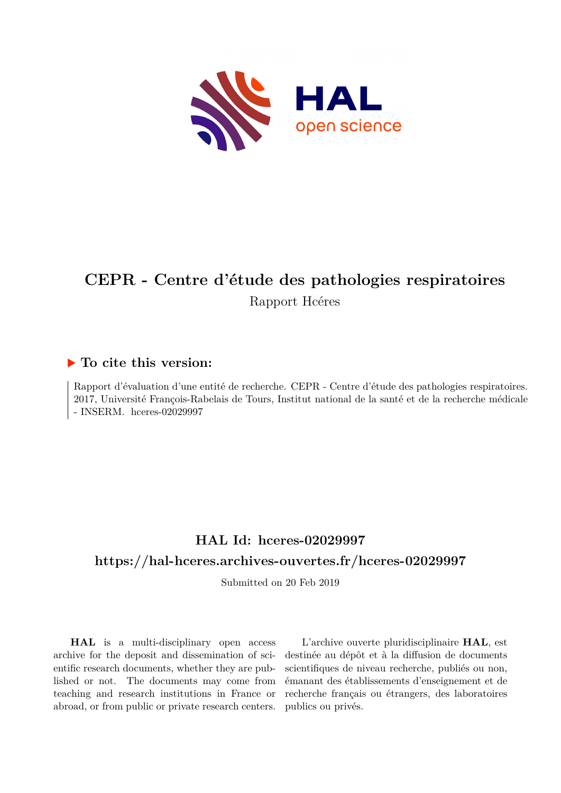

## **CEPR - Centre d'étude des pathologies respiratoires** Rapport Hcéres

### **To cite this version:**

Rapport d'évaluation d'une entité de recherche. CEPR - Centre d'étude des pathologies respiratoires. 2017, Université François-Rabelais de Tours, Institut national de la santé et de la recherche médicale  $-$  INSERM. hceres-02029997

## **HAL Id: hceres-02029997 <https://hal-hceres.archives-ouvertes.fr/hceres-02029997>**

Submitted on 20 Feb 2019

**HAL** is a multi-disciplinary open access archive for the deposit and dissemination of scientific research documents, whether they are published or not. The documents may come from teaching and research institutions in France or abroad, or from public or private research centers.

L'archive ouverte pluridisciplinaire **HAL**, est destinée au dépôt et à la diffusion de documents scientifiques de niveau recherche, publiés ou non, émanant des établissements d'enseignement et de recherche français ou étrangers, des laboratoires publics ou privés.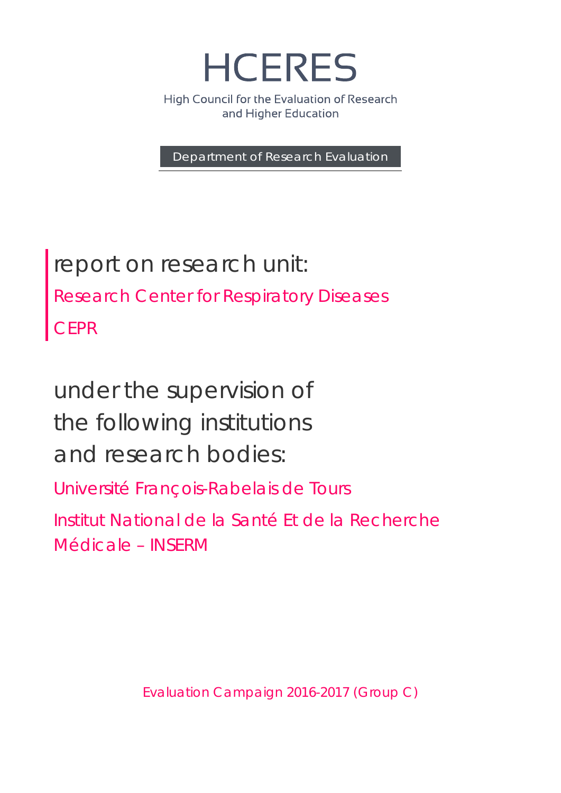**HCERES** 

High Council for the Evaluation of Research and Higher Education

Department of Research Evaluation

report on research unit: Research Center for Respiratory Diseases **CEPR** 

under the supervision of the following institutions and research bodies:

Université François-Rabelais de Tours

Institut National de la Santé Et de la Recherche Médicale – INSERM

Evaluation Campaign 2016-2017 (Group C)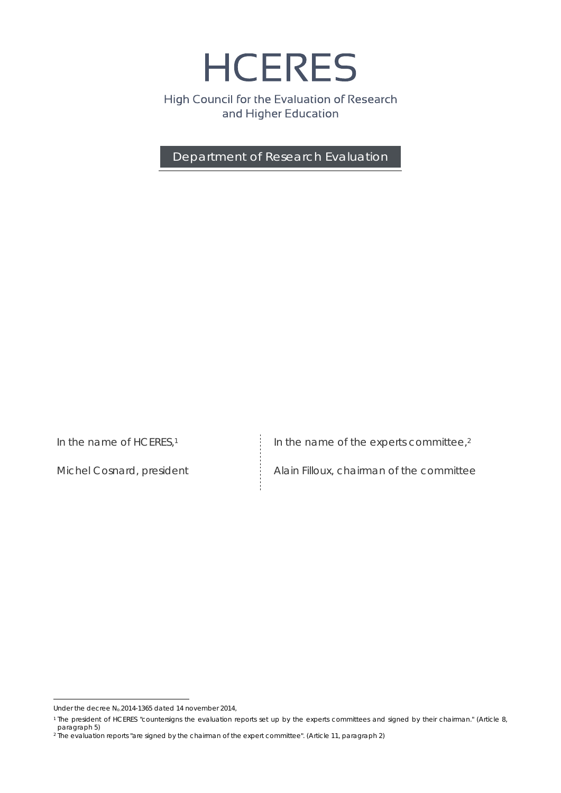**HCERES** 

High Council for the Evaluation of Research and Higher Education

Department of Research Evaluation

*In the name of HCERES,1*

Michel Cosnard, president

*In the name of the experts committee,2*

Alain Filloux, chairman of the committee

 $\overline{a}$ Under the decree  $N_0$ , 2014-1365 dated 14 november 2014,

<sup>1</sup> The president of HCERES "countersigns the evaluation reports set up by the experts committees and signed by their chairman." (Article 8, paragraph 5)

<sup>2</sup> The evaluation reports "are signed by the chairman of the expert committee". (Article 11, paragraph 2)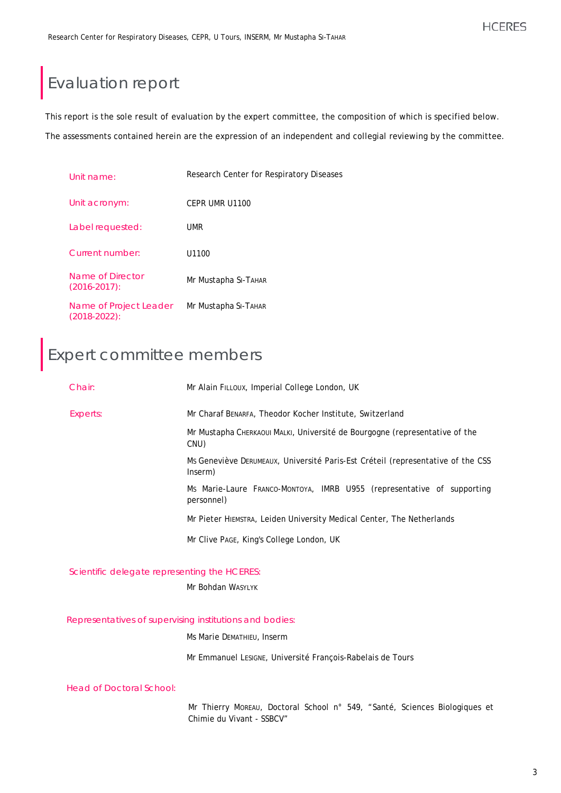## Evaluation report

This report is the sole result of evaluation by the expert committee, the composition of which is specified below.

The assessments contained herein are the expression of an independent and collegial reviewing by the committee.

| Unit name:                                | Research Center for Respiratory Diseases |
|-------------------------------------------|------------------------------------------|
| Unit acronym:                             | CEPR UMR U1100                           |
| Label requested:                          | <b>UMR</b>                               |
| Current number:                           | U1100                                    |
| Name of Director<br>$(2016 - 2017)$ :     | Mr Mustapha SI-ТАНАR                     |
| Name of Project Leader<br>$(2018-2022)$ : | Mr Mustapha SI-ТАНАR                     |

# Expert committee members

| Chair:                                                            | Mr Alain FILLOUX, Imperial College London, UK                                              |  |
|-------------------------------------------------------------------|--------------------------------------------------------------------------------------------|--|
| Experts:                                                          | Mr Charaf BENARFA, Theodor Kocher Institute, Switzerland                                   |  |
|                                                                   | Mr Mustapha CHERKAOUI MALKI, Université de Bourgogne (representative of the<br>CNU)        |  |
|                                                                   | Ms Geneviève DERUMEAUX, Université Paris-Est Créteil (representative of the CSS<br>Inserm) |  |
|                                                                   | Ms Marie-Laure Franco-Montoya, IMRB U955 (representative of supporting<br>personnel)       |  |
|                                                                   | Mr Pieter HIEMSTRA, Leiden University Medical Center, The Netherlands                      |  |
|                                                                   | Mr Clive PAGE, King's College London, UK                                                   |  |
| Scientific delegate representing the HCERES:<br>Mr Bohdan WASYLYK |                                                                                            |  |
|                                                                   |                                                                                            |  |

Representatives of supervising institutions and bodies:

Ms Marie DEMATHIEU, Inserm

Mr Emmanuel LESIGNE, Université François-Rabelais de Tours

Head of Doctoral School:

Mr Thierry MOREAU, Doctoral School n° 549, "Santé, Sciences Biologiques et Chimie du Vivant - SSBCV"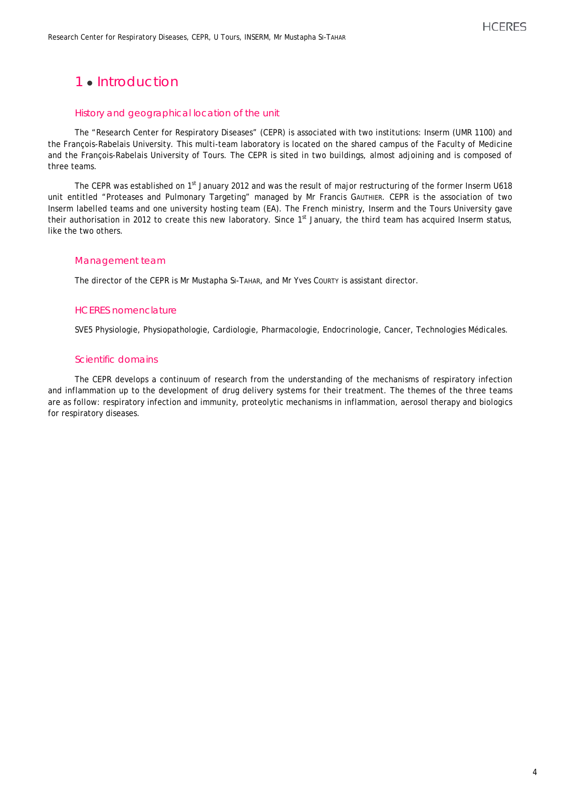## 1 **Introduction**

#### History and geographical location of the unit

The "Research Center for Respiratory Diseases" (CEPR) is associated with two institutions: Inserm (UMR 1100) and the François-Rabelais University. This multi-team laboratory is located on the shared campus of the Faculty of Medicine and the François-Rabelais University of Tours. The CEPR is sited in two buildings, almost adjoining and is composed of three teams.

The CEPR was established on 1<sup>st</sup> January 2012 and was the result of major restructuring of the former Inserm U618 unit entitled "Proteases and Pulmonary Targeting" managed by Mr Francis GAUTHIER. CEPR is the association of two Inserm labelled teams and one university hosting team (EA). The French ministry, Inserm and the Tours University gave their authorisation in 2012 to create this new laboratory. Since 1st January, the third team has acquired Inserm status, like the two others.

#### Management team

The director of the CEPR is Mr Mustapha SI-TAHAR, and Mr Yves COURTY is assistant director.

#### HCERES nomenclature

SVE5 Physiologie, Physiopathologie, Cardiologie, Pharmacologie, Endocrinologie, Cancer, Technologies Médicales.

#### Scientific domains

The CEPR develops a continuum of research from the understanding of the mechanisms of respiratory infection and inflammation up to the development of drug delivery systems for their treatment. The themes of the three teams are as follow: respiratory infection and immunity, proteolytic mechanisms in inflammation, aerosol therapy and biologics for respiratory diseases.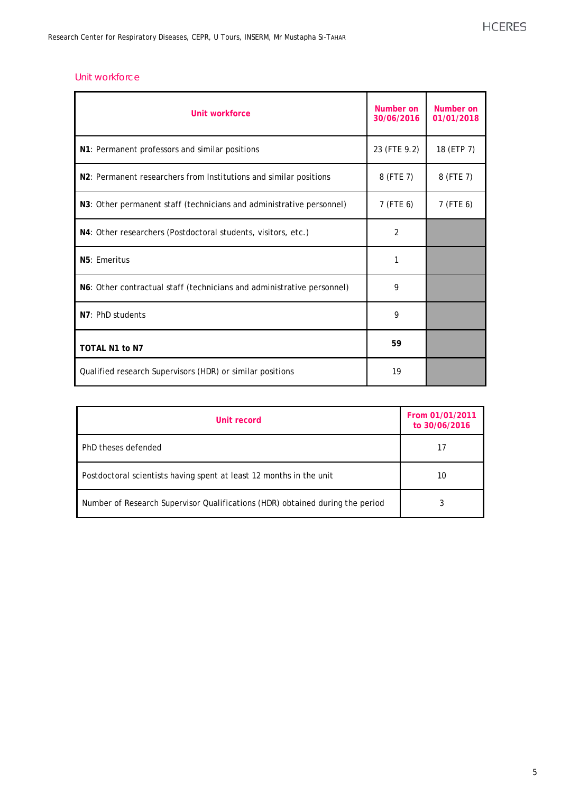#### Unit workforce

| Unit workforce                                                         | Number on<br>30/06/2016 | Number on<br>01/01/2018 |
|------------------------------------------------------------------------|-------------------------|-------------------------|
| N1: Permanent professors and similar positions                         | 23 (FTE 9.2)            | 18 (ETP 7)              |
| N2: Permanent researchers from Institutions and similar positions      | 8 (FTE 7)               | 8 (FTE 7)               |
| N3: Other permanent staff (technicians and administrative personnel)   | 7 (FTE 6)               | 7 (FTE 6)               |
| N4: Other researchers (Postdoctoral students, visitors, etc.)          | 2                       |                         |
| N5: Emeritus                                                           | 1                       |                         |
| N6: Other contractual staff (technicians and administrative personnel) | 9                       |                         |
| N7: PhD students                                                       | 9                       |                         |
| <b>TOTAL N1 to N7</b>                                                  | 59                      |                         |
| Qualified research Supervisors (HDR) or similar positions              | 19                      |                         |

| Unit record                                                                   | From 01/01/2011<br>to 30/06/2016 |
|-------------------------------------------------------------------------------|----------------------------------|
| PhD theses defended                                                           |                                  |
| Postdoctoral scientists having spent at least 12 months in the unit           | 10                               |
| Number of Research Supervisor Qualifications (HDR) obtained during the period |                                  |